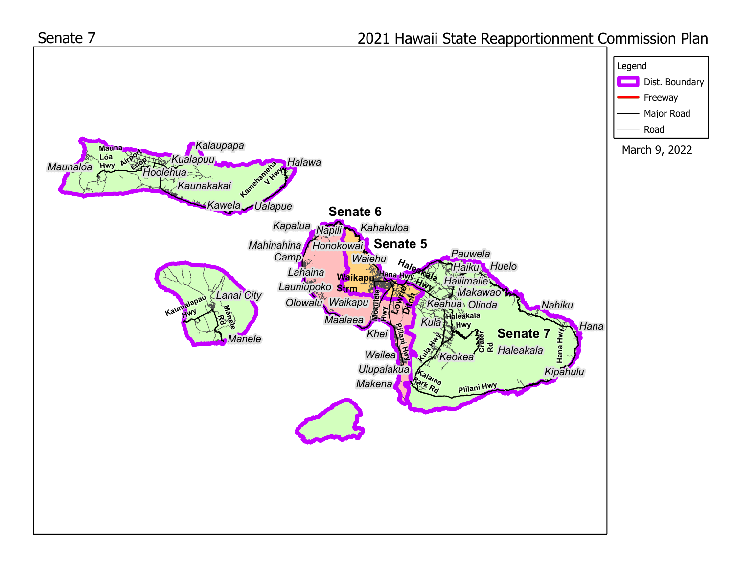